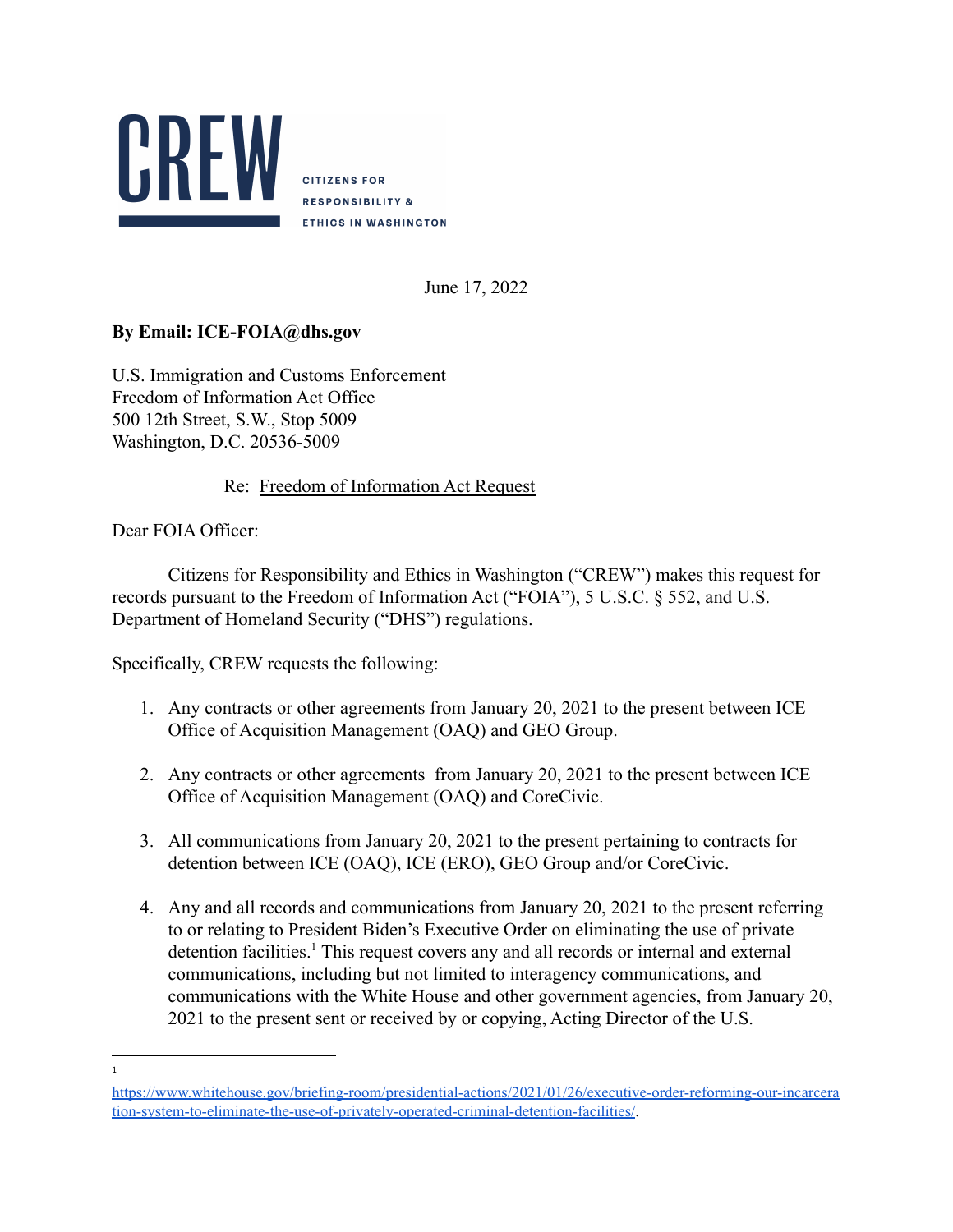

**CITIZENS FOR RESPONSIBILITY & ETHICS IN WASHINGTON** 

June 17, 2022

## **By Email: ICE-FOIA@dhs.gov**

U.S. Immigration and Customs Enforcement Freedom of Information Act Office 500 12th Street, S.W., Stop 5009 Washington, D.C. 20536-5009

## Re: Freedom of Information Act Request

Dear FOIA Officer<sup>.</sup>

Citizens for Responsibility and Ethics in Washington ("CREW") makes this request for records pursuant to the Freedom of Information Act ("FOIA"), 5 U.S.C. § 552, and U.S. Department of Homeland Security ("DHS") regulations.

Specifically, CREW requests the following:

- 1. Any contracts or other agreements from January 20, 2021 to the present between ICE Office of Acquisition Management (OAQ) and GEO Group.
- 2. Any contracts or other agreements from January 20, 2021 to the present between ICE Office of Acquisition Management (OAQ) and CoreCivic.
- 3. All communications from January 20, 2021 to the present pertaining to contracts for detention between ICE (OAQ), ICE (ERO), GEO Group and/or CoreCivic.
- 4. Any and all records and communications from January 20, 2021 to the present referring to or relating to President Biden's Executive Order on eliminating the use of private  $d$  detention facilities.<sup>1</sup> This request covers any and all records or internal and external communications, including but not limited to interagency communications, and communications with the White House and other government agencies, from January 20, 2021 to the present sent or received by or copying, Acting Director of the U.S.

<sup>1</sup>

[https://www.whitehouse.gov/briefing-room/presidential-actions/2021/01/26/executive-order-reforming-our-incarcera](https://www.whitehouse.gov/briefing-room/presidential-actions/2021/01/26/executive-order-reforming-our-incarceration-system-to-eliminate-the-use-of-privately-operated-criminal-detention-facilities/) [tion-system-to-eliminate-the-use-of-privately-operated-criminal-detention-facilities/](https://www.whitehouse.gov/briefing-room/presidential-actions/2021/01/26/executive-order-reforming-our-incarceration-system-to-eliminate-the-use-of-privately-operated-criminal-detention-facilities/).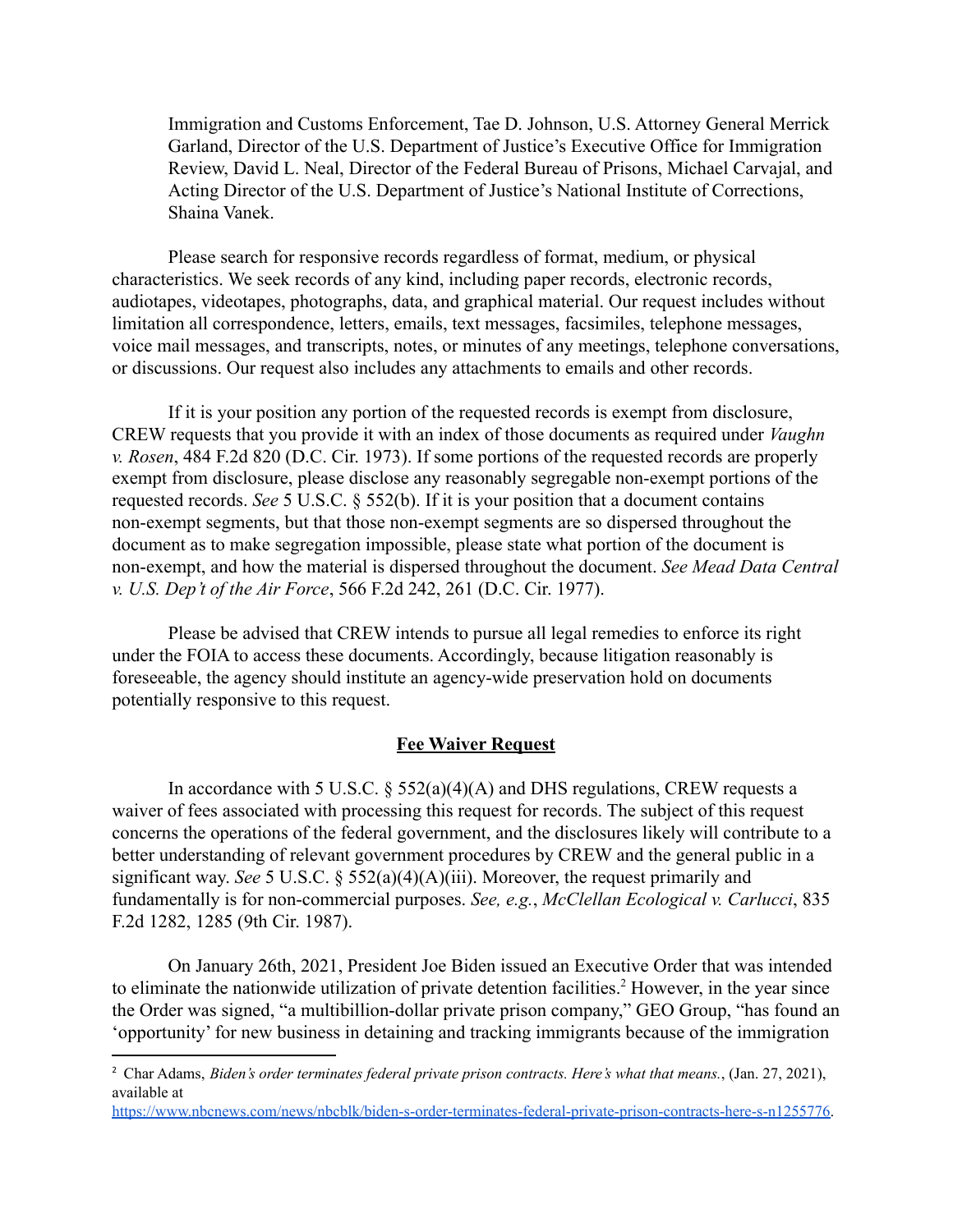Immigration and Customs Enforcement, Tae D. Johnson, U.S. Attorney General Merrick Garland, Director of the U.S. Department of Justice's Executive Office for Immigration Review, David L. Neal, Director of the Federal Bureau of Prisons, Michael Carvajal, and Acting Director of the U.S. Department of Justice's National Institute of Corrections, Shaina Vanek.

Please search for responsive records regardless of format, medium, or physical characteristics. We seek records of any kind, including paper records, electronic records, audiotapes, videotapes, photographs, data, and graphical material. Our request includes without limitation all correspondence, letters, emails, text messages, facsimiles, telephone messages, voice mail messages, and transcripts, notes, or minutes of any meetings, telephone conversations, or discussions. Our request also includes any attachments to emails and other records.

If it is your position any portion of the requested records is exempt from disclosure, CREW requests that you provide it with an index of those documents as required under *Vaughn v. Rosen*, 484 F.2d 820 (D.C. Cir. 1973). If some portions of the requested records are properly exempt from disclosure, please disclose any reasonably segregable non-exempt portions of the requested records. *See* 5 U.S.C. § 552(b). If it is your position that a document contains non-exempt segments, but that those non-exempt segments are so dispersed throughout the document as to make segregation impossible, please state what portion of the document is non-exempt, and how the material is dispersed throughout the document. *See Mead Data Central v. U.S. Dep't of the Air Force*, 566 F.2d 242, 261 (D.C. Cir. 1977).

Please be advised that CREW intends to pursue all legal remedies to enforce its right under the FOIA to access these documents. Accordingly, because litigation reasonably is foreseeable, the agency should institute an agency-wide preservation hold on documents potentially responsive to this request.

## **Fee Waiver Request**

In accordance with 5 U.S.C.  $\S$  552(a)(4)(A) and DHS regulations, CREW requests a waiver of fees associated with processing this request for records. The subject of this request concerns the operations of the federal government, and the disclosures likely will contribute to a better understanding of relevant government procedures by CREW and the general public in a significant way. *See* 5 U.S.C. § 552(a)(4)(A)(iii). Moreover, the request primarily and fundamentally is for non-commercial purposes. *See, e.g.*, *McClellan Ecological v. Carlucci*, 835 F.2d 1282, 1285 (9th Cir. 1987).

On January 26th, 2021, President Joe Biden issued an Executive Order that was intended to eliminate the nationwide utilization of private detention facilities.<sup>2</sup> However, in the year since the Order was signed, "a multibillion-dollar private prison company," GEO Group, "has found an 'opportunity' for new business in detaining and tracking immigrants because of the immigration

<sup>2</sup> Char Adams, *Biden's order terminates federal private prison contracts. Here's what that means.*, (Jan. 27, 2021), available at

[https://www.nbcnews.com/news/nbcblk/biden-s-order-terminates-federal-private-prison-contracts-here-s-n1255776.](https://www.nbcnews.com/news/nbcblk/biden-s-order-terminates-federal-private-prison-contracts-here-s-n1255776)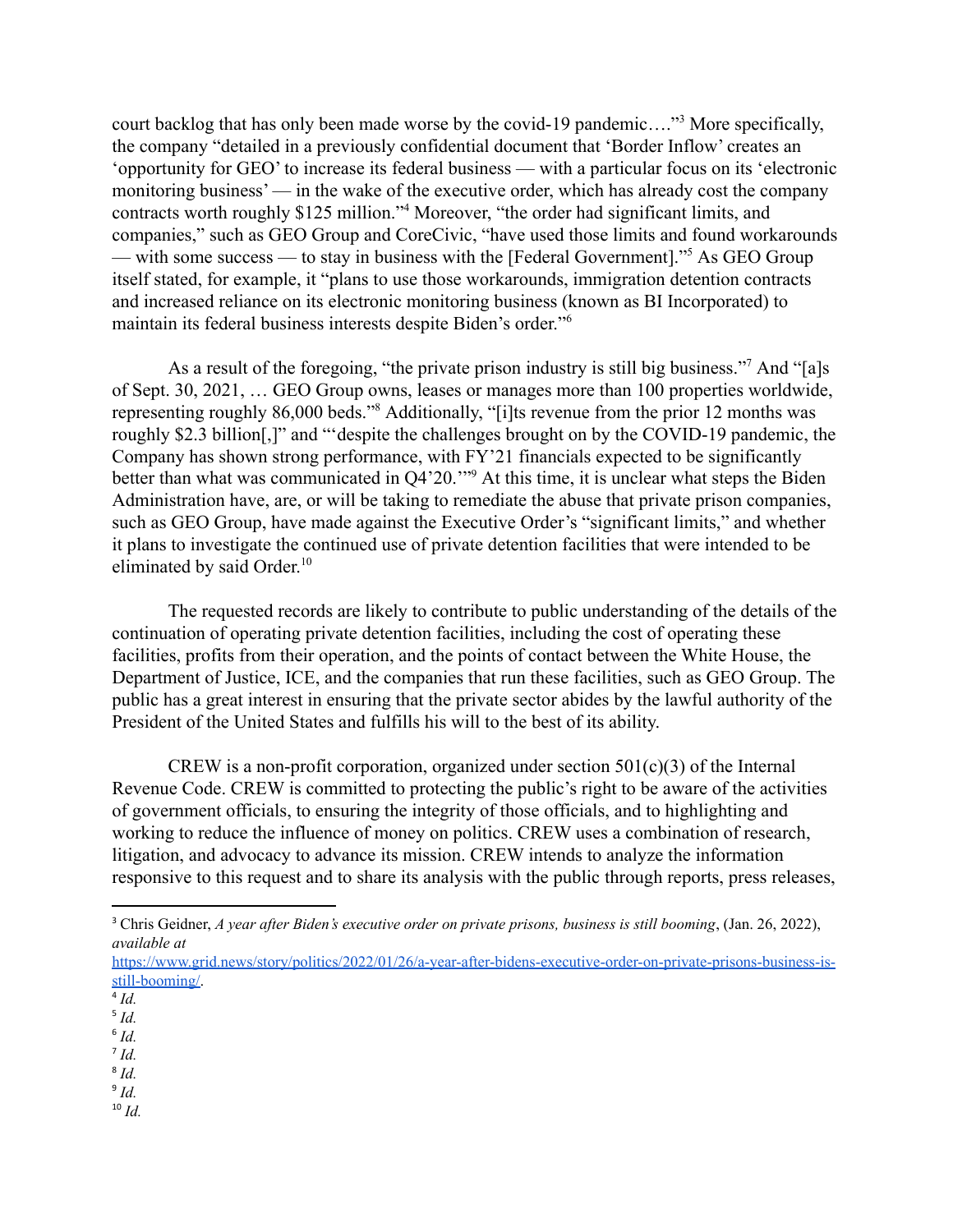court backlog that has only been made worse by the covid-19 pandemic...."<sup>3</sup> More specifically, the company "detailed in a previously confidential document that 'Border Inflow' creates an 'opportunity for GEO' to increase its federal business — with a particular focus on its 'electronic monitoring business' — in the wake of the executive order, which has already cost the company contracts worth roughly \$125 million."<sup>4</sup> Moreover, "the order had significant limits, and companies," such as GEO Group and CoreCivic, "have used those limits and found workarounds — with some success — to stay in business with the [Federal Government].<sup>55</sup> As GEO Group itself stated, for example, it "plans to use those workarounds, immigration detention contracts and increased reliance on its electronic monitoring business (known as BI Incorporated) to maintain its federal business interests despite Biden's order."<sup>6</sup>

As a result of the foregoing, "the private prison industry is still big business."<sup>7</sup> And "[a]s of Sept. 30, 2021, … GEO Group owns, leases or manages more than 100 properties worldwide, representing roughly 86,000 beds."<sup>8</sup> Additionally, "[i]ts revenue from the prior 12 months was roughly \$2.3 billion[,]" and "'despite the challenges brought on by the COVID-19 pandemic, the Company has shown strong performance, with FY'21 financials expected to be significantly better than what was communicated in Q4'20."<sup>9</sup> At this time, it is unclear what steps the Biden Administration have, are, or will be taking to remediate the abuse that private prison companies, such as GEO Group, have made against the Executive Order's "significant limits," and whether it plans to investigate the continued use of private detention facilities that were intended to be eliminated by said Order. 10

The requested records are likely to contribute to public understanding of the details of the continuation of operating private detention facilities, including the cost of operating these facilities, profits from their operation, and the points of contact between the White House, the Department of Justice, ICE, and the companies that run these facilities, such as GEO Group. The public has a great interest in ensuring that the private sector abides by the lawful authority of the President of the United States and fulfills his will to the best of its ability.

CREW is a non-profit corporation, organized under section  $501(c)(3)$  of the Internal Revenue Code. CREW is committed to protecting the public's right to be aware of the activities of government officials, to ensuring the integrity of those officials, and to highlighting and working to reduce the influence of money on politics. CREW uses a combination of research, litigation, and advocacy to advance its mission. CREW intends to analyze the information responsive to this request and to share its analysis with the public through reports, press releases,

- 5 *Id.*
- 7 *Id.* 6 *Id.*
- 8 *Id.*
- 9 *Id.*
- $10$  *Id.*

<sup>3</sup> Chris Geidner, *A year after Biden's executive order on private prisons, business is still booming*, (Jan. 26, 2022), *available at*

[https://www.grid.news/story/politics/2022/01/26/a-year-after-bidens-executive-order-on-private-prisons-business-is](https://www.grid.news/story/politics/2022/01/26/a-year-after-bidens-executive-order-on-private-prisons-business-is-still-booming/)[still-booming/.](https://www.grid.news/story/politics/2022/01/26/a-year-after-bidens-executive-order-on-private-prisons-business-is-still-booming/)

<sup>4</sup> *Id.*